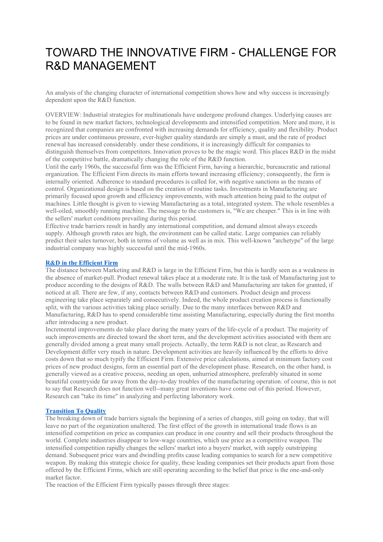# TOWARD THE INNOVATIVE FIRM - CHALLENGE FOR R&D MANAGEMENT

An analysis of the changing character of international competition shows how and why success is increasingly dependent upon the R&D function.

OVERVIEW: Industrial strategies for multinationals have undergone profound changes. Underlying causes are to be found in new market factors, technological developments and intensified competition. More and more, it is recognized that companies are confronted with increasing demands for efficiency, quality and flexibility. Product prices are under continuous pressure, ever-higher quality standards are simply a must, and the rate of product renewal has increased considerably. under these conditions, it is increasingly difficult for companies to distinguish themselves from competitors. Innovation proves to be the magic word. This places R&D in the midst of the competitive battle, dramatically changing the role of the R&D function.

Until the early 1960s, the successful firm was the Efficient Firm, having a hierarchic, bureaucratic and rational organization. The Efficient Firm directs its main efforts toward increasing efficiency; consequently, the firm is internally oriented. Adherence to standard procedures is called for, with negative sanctions as the means of control. Organizational design is based on the creation of routine tasks. Investments in Manufacturing are primarily focused upon growth and efficiency improvements, with much attention being paid to the output of machines. Little thought is given to viewing Manufacturing as a total, integrated system. The whole resembles a well-oiled, smoothly running machine. The message to the customers is, "We are cheaper." This is in line with the sellers' market conditions prevailing during this period.

Effective trade barriers result in hardly any international competition, and demand almost always exceeds supply. Although growth rates are high, the environment can be called static. Large companies can reliably predict their sales turnover, both in terms of volume as well as in mix. This well-known "archetype" of the large industrial company was highly successful until the mid-1960s.

#### **R&D in the [Efficient](https://web-a-ebscohost-com.ezproxy2.utwente.nl/ehost/detail/detail?vid=9&sid=ba8b6d99-b30d-403e-b997-7ceae9b38428%40sdc-v-sessmgr02&bdata=JnNpdGU9ZWhvc3QtbGl2ZQ%3d%3d#toc) Firm**

The distance between Marketing and R&D is large in the Efficient Firm, but this is hardly seen as a weakness in the absence of market-pull. Product renewal takes place at a moderate rate. It is the task of Manufacturing just to produce according to the designs of R&D. The walls between R&D and Manufacturing are taken for granted, if noticed at all. There are few, if any, contacts between R&D and customers. Product design and process engineering take place separately and consecutively. Indeed, the whole product creation process is functionally split, with the various activities taking place serially. Due to the many interfaces between R&D and Manufacturing, R&D has to spend considerable time assisting Manufacturing, especially during the first months after introducing a new product.

Incremental improvements do take place during the many years of the life-cycle of a product. The majority of such improvements are directed toward the short term, and the development activities associated with them are generally divided among a great many small projects. Actually, the term R&D is not clear, as Research and Development differ very much in nature. Development activities are heavily influenced by the efforts to drive costs down that so much typify the Efficient Firm. Extensive price calculations, aimed at minimum factory cost prices of new product designs, form an essential part of the development phase. Research, on the other hand, is generally viewed as a creative process, needing an open, unhurried atmosphere, preferably situated in some beautiful countryside far away from the day-to-day troubles of the manufacturing operation. of course, this is not to say that Research does not function well--many great inventions have come out of this period. However, Research can "take its time" in analyzing and perfecting laboratory work.

#### **[Transition](https://web-a-ebscohost-com.ezproxy2.utwente.nl/ehost/detail/detail?vid=9&sid=ba8b6d99-b30d-403e-b997-7ceae9b38428%40sdc-v-sessmgr02&bdata=JnNpdGU9ZWhvc3QtbGl2ZQ%3d%3d#toc) To Quality**

The breaking down of trade barriers signals the beginning of a series of changes, still going on today, that will leave no part of the organization unaltered. The first effect of the growth in international trade flows is an intensified competition on price as companies can produce in one country and sell their products throughout the world. Complete industries disappear to low-wage countries, which use price as a competitive weapon. The intensified competition rapidly changes the sellers' market into a buyers' market, with supply outstripping demand. Subsequent price wars and dwindling profits cause leading companies to search for a new competitive weapon. By making this strategic choice for quality, these leading companies set their products apart from those offered by the Efficient Firms, which are still operating according to the belief that price is the one-and-only market factor.

The reaction of the Efficient Firm typically passes through three stages: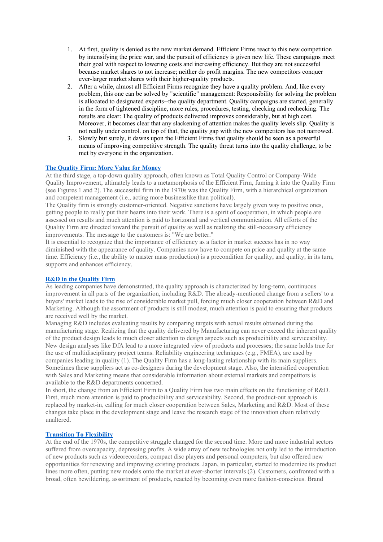- 1. At first, quality is denied as the new market demand. Efficient Firms react to this new competition by intensifying the price war, and the pursuit of efficiency is given new life. These campaigns meet their goal with respect to lowering costs and increasing efficiency. But they are not successful because market shares to not increase; neither do profit margins. The new competitors conquer ever-larger market shares with their higher-quality products.
- 2. After a while, almost all Efficient Firms recognize they have a quality problem. And, like every problem, this one can be solved by "scientific" management: Responsibility for solving the problem is allocated to designated experts--the quality department. Quality campaigns are started, generally in the form of tightened discipline, more rules, procedures, testing, checking and rechecking. The results are clear: The quality of products delivered improves considerably, but at high cost. Moreover, it becomes clear that any slackening of attention makes the quality levels slip. Quality is not really under control. on top of that, the quality gap with the new competitors has not narrowed.
- 3. Slowly but surely, it dawns upon the Efficient Firms that quality should be seen as a powerful means of improving competitive strength. The quality threat turns into the quality challenge, to be met by everyone in the organization.

## **The [Quality](https://web-a-ebscohost-com.ezproxy2.utwente.nl/ehost/detail/detail?vid=9&sid=ba8b6d99-b30d-403e-b997-7ceae9b38428%40sdc-v-sessmgr02&bdata=JnNpdGU9ZWhvc3QtbGl2ZQ%3d%3d#toc) Firm: More Value for Money**

At the third stage, a top-down quality approach, often known as Total Quality Control or Company-Wide Quality Improvement, ultimately leads to a metamorphosis of the Efficient Firm, fuming it into the Quality Firm (see Figures 1 and 2). The successful firm in the 1970s was the Quality Firm, with a hierarchical organization and competent management (i.e., acting more businesslike than political).

The Quality firm is strongly customer-oriented. Negative sanctions have largely given way to positive ones, getting people to really put their hearts into their work. There is a spirit of cooperation, in which people are assessed on results and much attention is paid to horizontal and vertical communication. All efforts of the Quality Firm are directed toward the pursuit of quality as well as realizing the still-necessary efficiency improvements. The message to the customers is: "We are better."

It is essential to recognize that the importance of efficiency as a factor in market success has in no way diminished with the appearance of quality. Companies now have to compete on price and quality at the same time. Efficiency (i.e., the ability to master mass production) is a precondition for quality, and quality, in its turn, supports and enhances efficiency.

# **R&D in the [Quality](https://web-a-ebscohost-com.ezproxy2.utwente.nl/ehost/detail/detail?vid=9&sid=ba8b6d99-b30d-403e-b997-7ceae9b38428%40sdc-v-sessmgr02&bdata=JnNpdGU9ZWhvc3QtbGl2ZQ%3d%3d#toc) Firm**

As leading companies have demonstrated, the quality approach is characterized by long-term, continuous improvement in all parts of the organization, including R&D. The already-mentioned change from a sellers' to a buyers' market leads to the rise of considerable market pull, forcing much closer cooperation between R&D and Marketing. Although the assortment of products is still modest, much attention is paid to ensuring that products are received well by the market.

Managing R&D includes evaluating results by comparing targets with actual results obtained during the manufacturing stage. Realizing that the quality delivered by Manufacturing can never exceed the inherent quality of the product design leads to much closer attention to design aspects such as producibility and serviceability. New design analyses like DfA lead to a more integrated view of products and processes; the same holds true for the use of multidisciplinary project teams. Reliability engineering techniques (e.g., FMEA), are used by companies leading in quality (1). The Quality Firm has a long-lasting relationship with its main suppliers. Sometimes these suppliers act as co-designers during the development stage. Also, the intensified cooperation with Sales and Marketing means that considerable information about external markets and competitors is available to the R&D departments concerned.

In short, the change from an Efficient Firm to a Quality Firm has two main effects on the functioning of R&D. First, much more attention is paid to producibility and serviceability. Second, the product-out approach is replaced by market-in, calling for much closer cooperation between Sales, Marketing and R&D. Most of these changes take place in the development stage and leave the research stage of the innovation chain relatively unaltered.

## **[Transition](https://web-a-ebscohost-com.ezproxy2.utwente.nl/ehost/detail/detail?vid=9&sid=ba8b6d99-b30d-403e-b997-7ceae9b38428%40sdc-v-sessmgr02&bdata=JnNpdGU9ZWhvc3QtbGl2ZQ%3d%3d#toc) To Flexibility**

At the end of the 1970s, the competitive struggle changed for the second time. More and more industrial sectors suffered from overcapacity, depressing profits. A wide array of new technologies not only led to the introduction of new products such as videorecorders, compact disc players and personal computers, but also offered new opportunities for renewing and improving existing products. Japan, in particular, started to modernize its product lines more often, putting new models onto the market at ever-shorter intervals (2). Customers, confronted with a broad, often bewildering, assortment of products, reacted by becoming even more fashion-conscious. Brand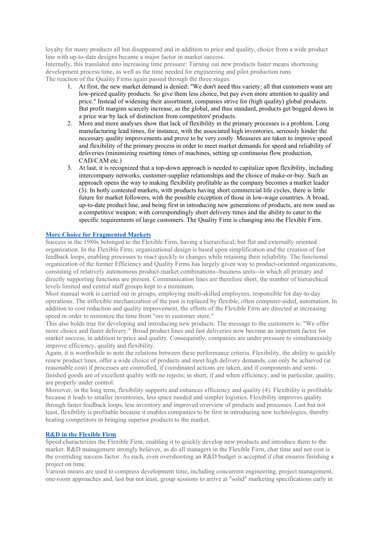loyalty for many products all but disappeared and in addition to price and quality, choice from a wide product line with up-to-date designs became a major factor in market success.

Internally, this translated into increasing time pressure: Turning out new products faster means shortening development process time, as well as the time needed for engineering and pilot production runs. The reaction of the Quality Firms again passed through the three stages:

- 1. At first, the new market demand is denied: "We don't need this variety; all that customers want are low-priced quality products. So give them less choice, but pay even more attention to quality and price." Instead of widening their assortment, companies strive for (high quality) global products. But profit margins scarcely increase, as the global, and thus standard, products get bogged down in a price war by lack of distinction from competitors' products.
- 2. More and more analyses show that lack of flexibility in the primary processes is a problem. Long manufacturing lead times, for instance, with the associated high inventories, seriously hinder the necessary quality improvements and prove to be very costly. Measures are taken to improve speed and flexibility of the primary process in order to meet market demands for speed and reliability of deliveries (minimizing resetting times of machines, setting up continuous flow production, CAD/CAM etc.)
- 3. At last, it is recognized that a top-down approach is needed to capitalize upon flexibility, including intercompany networks, customer-supplier relationships and the choice of make-or-buy. Such an approach opens the way to making flexibility profitable as the company becomes a market leader (3). In hotly contested markets, with products having short commercial life cycles, there is little future for market followers, with the possible exception of those in low-wage countries. A broad, up-to-date product line, and being first in introducing new generations of products, are now used as a competitive weapon; with correspondingly short delivery times and the ability to cater to the specific requirements of large customers. The Quality Firm is changing into the Flexible Firm.

#### **More Choice for [Fragmented](https://web-a-ebscohost-com.ezproxy2.utwente.nl/ehost/detail/detail?vid=9&sid=ba8b6d99-b30d-403e-b997-7ceae9b38428%40sdc-v-sessmgr02&bdata=JnNpdGU9ZWhvc3QtbGl2ZQ%3d%3d#toc) Markets**

Success in the 1980s belonged to the Flexible Firm, having a hierarchical, but flat and externally oriented organization. In the Flexible Firm, organizational design is based upon simplification and the creation of fast feedback loops, enabling processes to react quickly to changes while retaining their reliability. The functional organization of the former Efficiency and Quality Firms has largely given way to product-oriented organizations, consisting of relatively autonomous product-market combinations--business units--in which all primary and directly supporting functions are present. Communication lines are therefore short, the number of hierarchical levels limited and central staff groups kept to a minimum.

Most manual work is carried out in groups, employing multi-skilled employees, responsible for day-to-day operations. The inflexible mechanization of the past is replaced by flexible, often computer-aided, automation. In addition to cost reduction and quality improvement, the efforts of the Flexible Firm are directed at increasing speed in order to minimize the time from "ore to customer store."

This also holds true for developing and introducing new products. The message to the customers is: "We offer more choice and faster delivery." Broad product lines and fast deliveries now become an important factor for market success, in addition to price and quality. Consequently, companies are under pressure to simultaneously improve efficiency, quality and flexibility.

Again, it is worthwhile to note the relations between these performance criteria. Flexibility, the ability to quickly renew product lines, offer a wide choice of products and meet high delivery demands, can only be achieved (at reasonable cost) if processes are controlled, if coordinated actions are taken, and if components and semifinished goods are of excellent quality with no rejects; in short, if and when efficiency, and in particular, quality, are properly under control.

Moreover, in the long term, flexibility supports and enhances efficiency and quality (4). Flexibility is profitable because it leads to smaller inventories, less space needed and simpler logistics. Flexibility improves quality through faster feedback loops, less inventory and improved overview of products and processes. Last but not least, flexibility is profitable because it enables companies to be first in introducing new technologies, thereby beating competitors in bringing superior products to the market.

### **R&D in the [Flexible](https://web-a-ebscohost-com.ezproxy2.utwente.nl/ehost/detail/detail?vid=9&sid=ba8b6d99-b30d-403e-b997-7ceae9b38428%40sdc-v-sessmgr02&bdata=JnNpdGU9ZWhvc3QtbGl2ZQ%3d%3d#toc) Firm**

Speed characterizes the Flexible Firm, enabling it to quickly develop new products and introduce them to the market. R&D management strongly believes, as do all managers in the Flexible Firm, chat time and not cost is the overriding success factor. As such, even overshooting an R&D budget is accepted if chat ensures finishing a project on time.

Various means are used to compress development time, including concurrent engineering, project management, one-room approaches and, last but not least, group sessions to arrive at "solid" marketing specifications early in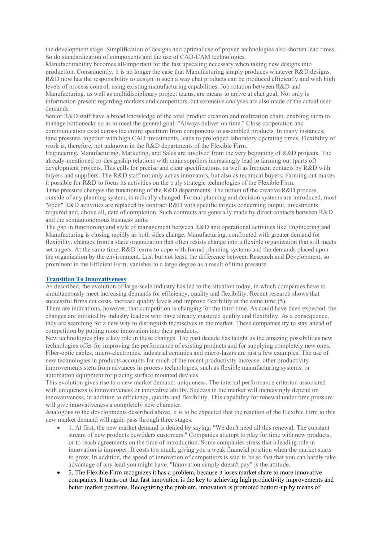the development stage. Simplification of designs and optimal use of proven technologies also shorten lead times. So do standardization of components and the use of CAD-CAM technologies.

Manufacturability becomes all-important for the fast upscaling necessary when taking new designs into production. Consequently, it is no longer the case that Manufacturing simply produces whatever R&D designs. R&D now has the responsibility to design in such a way chat products can be produced efficiently and with high levels of process control, using existing manufacturing capabilities. Job rotation between R&D and Manufacturing, as well as multidisciplinary project teams, are means to arrive at chat goal. Not only is information present regarding markets and competitors, but extensive analyses are also made of the actual user demands.

Senior R&D staff have a broad knowledge of the total product creation and realization chain, enabling them to manage bottlenecks so as to meet the general goal: "Always deliver on time." Close cooperation and communication exist across the entire spectrum from components to assembled products. In many instances, time pressure, together with high CAD investments, leads to prolonged laboratory operating times. Flexibility of work is, therefore, not unknown in the R&D departments of the Flexible Firm.

Engineering, Manufacturing, Marketing, and Sales are involved from the very beginning of R&D projects. The already-mentioned co-designship relations with main suppliers increasingly lead to farming out (parts of) development projects. This calls for precise and clear specifications, as well as frequent contacts by R&D with buyers and suppliers. The R&D staff not only act as innovators, but also as technical buyers. Farming out makes it possible for R&D to focus its activities on the truly strategic technologies of the Flexible Firm.

Time pressure changes the functioning of the R&D departments. The notion of the creative R&D process, outside of any planning system, is radically changed. Formal planning and decision systems are introduced, most "open" R&D activities are replaced by contract R&D with specific targets concerning output, investments required and, above all, date of completion. Such contracts are generally made by direct contacts between R&D and the semiautonomous business units.

The gap in functioning and style of management between R&D and operational activities like Engineering and Manufacturing is closing rapidly as both sides change. Manufacturing, confronted with greater demand for flexibility, changes from a static organization that often resists change into a flexible organization that still meets set targets. At the same time, R&D learns to cope with formal planning systems and the demands placed upon the organization by the environment. Last but not least, the difference between Research and Development, so prominent in the Efficient Firm, vanishes to a large degree as a result of time pressure.

## **Transition To [Innovativeness](https://web-a-ebscohost-com.ezproxy2.utwente.nl/ehost/detail/detail?vid=9&sid=ba8b6d99-b30d-403e-b997-7ceae9b38428%40sdc-v-sessmgr02&bdata=JnNpdGU9ZWhvc3QtbGl2ZQ%3d%3d#toc)**

As described, the evolution of large-scale industry has led to the situation today, in which companies have to simultaneously meet increasing demands for efficiency, quality and flexibility. Recent research shows that successful firms cut costs, increase quality levels and improve flexibility at the same time (5).

There are indications, however, that competition is changing for the third time. As could have been expected, the changes are initiated by industry leaders who have already mastered quality and flexibility. As a consequence, they are searching for a new way to distinguish themselves in the market. These companies try to stay ahead of competition by putting more innovation into their products.

New technologies play a key role in these changes. The past decade has taught us the amazing possibilities new technologies offer for improving the performance of existing products and for supplying completely new ones. Fiber-optic cables, micro-electronics, industrial ceramics and micro-lasers are just a few examples. The use of new technologies in products accounts for much of the recent productivity increase. other productivity improvements stem from advances in process technologies, such as flexible manufacturing systems, or automation equipment for placing surface mounted devices.

This evolution gives rise to a new market demand: uniqueness. The internal performance criterion associated with uniqueness is innovativeness or innovative ability. Success in the market will increasingly depend on innovativeness, in addition to efficiency, quality and flexibility. This capability for renewal under time pressure will give innovativeness a completely new character.

Analogous to the developments described above, it is to be expected that the reaction of the Flexible Firm to this new market demand will again pass through three stages.

- 1. At first, the new market demand is denied by saying: "We don't need all this renewal. The constant stream of new products bewilders customers." Companies attempt to play for time with new products, or to reach agreements on the time of introduction. Some companies stress that a leading role in innovation is improper: It costs too much, giving you a weak financial position when the market starts to grow. In addition, the speed of innovation of competitors is said to be so fast that you can hardly take advantage of any lead you might have. "Innovation simply doesn't pay" is the attitude.
- 2. The Flexible Firm recognizes it has a problem, because it loses market share to more innovative companies. It turns out that fast innovation is the key to achieving high productivity improvements and better market positions. Recognizing the problem, innovation is promoted bottom-up by means of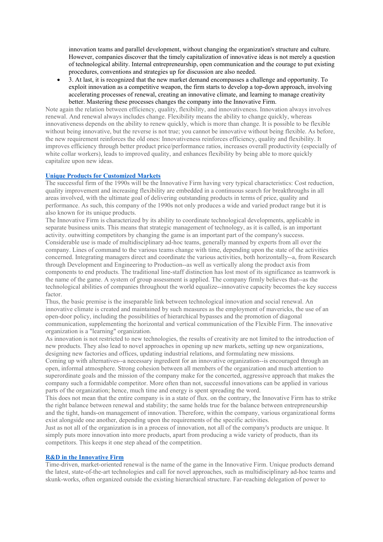innovation teams and parallel development, without changing the organization's structure and culture. However, companies discover that the timely capitalization of innovative ideas is not merely a question of technological ability. Internal entrepreneurship, open communication and the courage to put existing procedures, conventions and strategies up for discussion are also needed.

• 3. At last, it is recognized that the new market demand encompasses a challenge and opportunity. To exploit innovation as a competitive weapon, the firm starts to develop a top-down approach, involving accelerating processes of renewal, creating an innovative climate, and learning to manage creativity better. Mastering these processes changes the company into the Innovative Firm.

Note again the relation between efficiency, quality, flexibility, and innovativeness. Innovation always involves renewal. And renewal always includes change. Flexibility means the ability to change quickly, whereas innovativeness depends on the ability to renew quickly, which is more than change. It is possible to be flexible without being innovative, but the reverse is not true; you cannot be innovative without being flexible. As before, the new requirement reinforces the old ones: Innovativeness reinforces efficiency, quality and flexibility. It improves efficiency through better product price/performance ratios, increases overall productivity (especially of white collar workers), leads to improved quality, and enhances flexibility by being able to more quickly capitalize upon new ideas.

#### **Unique Products for [Customized](https://web-a-ebscohost-com.ezproxy2.utwente.nl/ehost/detail/detail?vid=9&sid=ba8b6d99-b30d-403e-b997-7ceae9b38428%40sdc-v-sessmgr02&bdata=JnNpdGU9ZWhvc3QtbGl2ZQ%3d%3d#toc) Markets**

The successful firm of the 1990s will be the Innovative Firm having very typical characteristics: Cost reduction, quality improvement and increasing flexibility are embedded in a continuous search for breakthroughs in all areas involved, with the ultimate goal of delivering outstanding products in terms of price, quality and performance. As such, this company of the 1990s not only produces a wide and varied product range but it is also known for its unique products.

The Innovative Firm is characterized by its ability to coordinate technological developments, applicable in separate business units. This means that strategic management of technology, as it is called, is an important activity. outwitting competitors by changing the game is an important part of the company's success. Considerable use is made of multidisciplinary ad-hoc teams, generally manned by experts from all over the company. Lines of command to the various teams change with time, depending upon the state of the activities concerned. Integrating managers direct and coordinate the various activities, both horizontally--a, from Research through Development and Engineering to Production--as well as vertically along the product axis from components to end products. The traditional line-staff distinction has lost most of its significance as teamwork is the name of the game. A system of group assessment is applied. The company firmly believes that--as the technological abilities of companies throughout the world equalize--innovative capacity becomes the key success factor.

Thus, the basic premise is the inseparable link between technological innovation and social renewal. An innovative climate is created and maintained by such measures as the employment of mavericks, the use of an open-door policy, including the possibilities of hierarchical bypasses and the promotion of diagonal communication, supplementing the horizontal and vertical communication of the Flexible Firm. The innovative organization is a "learning" organization.

As innovation is not restricted to new technologies, the results of creativity are not limited to the introduction of new products. They also lead to novel approaches in opening up new markets, setting up new organizations, designing new factories and offices, updating industrial relations, and formulating new missions.

Coming up with alternatives--a necessary ingredient for an innovative organization--is encouraged through an open, informal atmosphere. Strong cohesion between all members of the organization and much attention to superordinate goals and the mission of the company make for the concerted, aggressive approach that makes the company such a formidable competitor. More often than not, successful innovations can be applied in various parts of the organization; hence, much time and energy is spent spreading the word.

This does not mean that the entire company is in a state of flux. on the contrary, the Innovative Firm has to strike the right balance between renewal and stability; the same holds true for the balance between entrepreneurship and the tight, hands-on management of innovation. Therefore, within the company, various organizational forms exist alongside one another, depending upon the requirements of the specific activities.

Just as not all of the organization is in a process of innovation, not all of the company's products are unique. It simply puts more innovation into more products, apart from producing a wide variety of products, than its competitors. This keeps it one step ahead of the competition.

## **R&D in the [Innovative](https://web-a-ebscohost-com.ezproxy2.utwente.nl/ehost/detail/detail?vid=9&sid=ba8b6d99-b30d-403e-b997-7ceae9b38428%40sdc-v-sessmgr02&bdata=JnNpdGU9ZWhvc3QtbGl2ZQ%3d%3d#toc) Firm**

Time-driven, market-oriented renewal is the name of the game in the Innovative Firm. Unique products demand the latest, state-of-the-art technologies and call for novel approaches, such as multidisciplinary ad-hoc teams and skunk-works, often organized outside the existing hierarchical structure. Far-reaching delegation of power to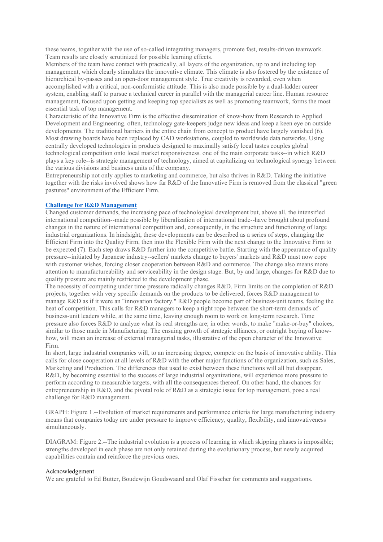these teams, together with the use of so-called integrating managers, promote fast, results-driven teamwork. Team results are closely scrutinized for possible learning effects.

Members of the team have contact with practically, all layers of the organization, up to and including top management, which clearly stimulates the innovative climate. This climate is also fostered by the existence of hierarchical by-passes and an open-door management style. True creativity is rewarded, even when accomplished with a critical, non-conformistic attitude. This is also made possible by a dual-ladder career system, enabling staff to pursue a technical career in parallel with the managerial career line. Human resource management, focused upon getting and keeping top specialists as well as promoting teamwork, forms the most essential task of top management.

Characteristic of the Innovative Firm is the effective dissemination of know-how from Research to Applied Development and Engineering. often, technology gate-keepers judge new ideas and keep a keen eye on outside developments. The traditional barriers in the entire chain from concept to product have largely vanished (6). Most drawing boards have been replaced by CAD workstations, coupled to worldwide data networks. Using centrally developed technologies in products designed to maximally satisfy local tastes couples global technological competition onto local market responsiveness. one of the main corporate tasks--in which R&D plays a key role--is strategic management of technology, aimed at capitalizing on technological synergy between the various divisions and business units of the company.

Entrepreneurship not only applies to marketing and commerce, but also thrives in R&D. Taking the initiative together with the risks involved shows how far R&D of the Innovative Firm is removed from the classical "green pastures" environment of the Efficient Firm.

#### **Challenge for R&D [Management](https://web-a-ebscohost-com.ezproxy2.utwente.nl/ehost/detail/detail?vid=9&sid=ba8b6d99-b30d-403e-b997-7ceae9b38428%40sdc-v-sessmgr02&bdata=JnNpdGU9ZWhvc3QtbGl2ZQ%3d%3d#toc)**

Changed customer demands, the increasing pace of technological development but, above all, the intensified international competition--made possible by liberalization of international trade--have brought about profound changes in the nature of international competition and, consequently, in the structure and functioning of large industrial organizations. In hindsight, these developments can be described as a series of steps, changing the Efficient Firm into the Quality Firm, then into the Flexible Firm with the next change to the Innovative Firm to be expected (7). Each step draws R&D further into the competitive battle. Starting with the appearance of quality pressure--initiated by Japanese industry--sellers' markets change to buyers' markets and R&D must now cope with customer wishes, forcing closer cooperation between R&D and commerce. The change also means more attention to manufactureability and serviceability in the design stage. But, by and large, changes for R&D due to quality pressure are mainly restricted to the development phase.

The necessity of competing under time pressure radically changes R&D. Firm limits on the completion of R&D projects, together with very specific demands on the products to be delivered, forces R&D management to manage R&D as if it were an "innovation factory." R&D people become part of business-unit teams, feeling the heat of competition. This calls for R&D managers to keep a tight rope between the short-term demands of business-unit leaders while, at the same time, leaving enough room to work on long-term research. Time pressure also forces R&D to analyze what its real strengths are; in other words, to make "make-or-buy" choices, similar to those made in Manufacturing. The ensuing growth of strategic alliances, or outright buying of knowhow, will mean an increase of external managerial tasks, illustrative of the open character of the Innovative Firm.

In short, large industrial companies will, to an increasing degree, compete on the basis of innovative ability. This calls for close cooperation at all levels of R&D with the other major functions of the organization, such as Sales, Marketing and Production. The differences that used to exist between these functions will all but disappear. R&D, by becoming essential to the success of large industrial organizations, will experience more pressure to perform according to measurable targets, with all the consequences thereof. On other hand, the chances for entrepreneurship in R&D, and the pivotal role of R&D as a strategic issue for top management, pose a real challenge for R&D management.

GRAPH: Figure 1.--Evolution of market requirements and performance criteria for large manufacturing industry means that companies today are under pressure to improve efficiency, quality, flexibility, and innovativeness simultaneously.

DIAGRAM: Figure 2.--The industrial evolution is a process of learning in which skipping phases is impossible; strengths developed in each phase are not only retained during the evolutionary process, but newly acquired capabilities contain and reinforce the previous ones.

#### Acknowledgement

We are grateful to Ed Butter, Boudewijn Goudswaard and Olaf Fisscher for comments and suggestions.